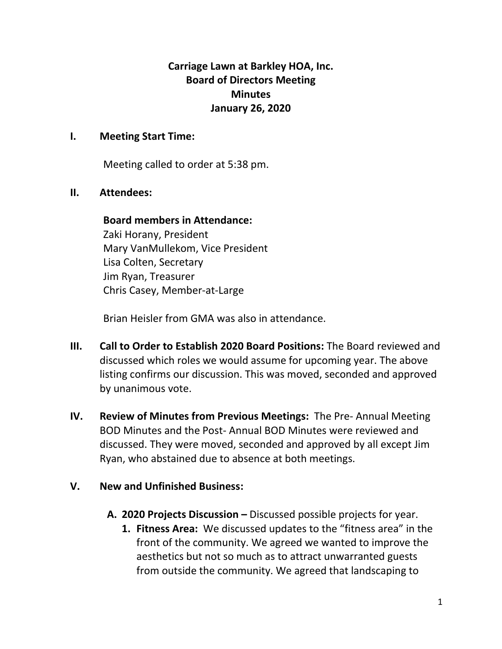**Carriage Lawn at Barkley HOA, Inc. Board of Directors Meeting Minutes January 26, 2020**

# **I. Meeting Start Time:**

Meeting called to order at 5:38 pm.

### **II. Attendees:**

### **Board members in Attendance:**

Zaki Horany, President Mary VanMullekom, Vice President Lisa Colten, Secretary Jim Ryan, Treasurer Chris Casey, Member-at-Large

Brian Heisler from GMA was also in attendance.

- **III. Call to Order to Establish 2020 Board Positions:** The Board reviewed and discussed which roles we would assume for upcoming year. The above listing confirms our discussion. This was moved, seconded and approved by unanimous vote.
- **IV. Review of Minutes from Previous Meetings:** The Pre- Annual Meeting BOD Minutes and the Post- Annual BOD Minutes were reviewed and discussed. They were moved, seconded and approved by all except Jim Ryan, who abstained due to absence at both meetings.

# **V. New and Unfinished Business:**

- **A. 2020 Projects Discussion –** Discussed possible projects for year.
	- **1. Fitness Area:** We discussed updates to the "fitness area" in the front of the community. We agreed we wanted to improve the aesthetics but not so much as to attract unwarranted guests from outside the community. We agreed that landscaping to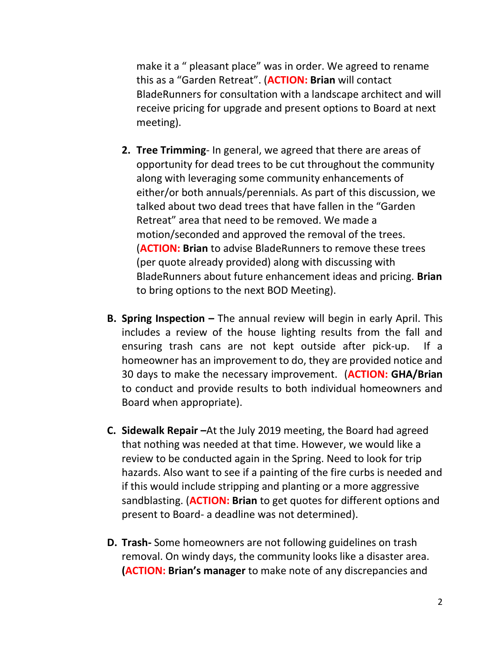make it a " pleasant place" was in order. We agreed to rename this as a "Garden Retreat". (**ACTION: Brian** will contact BladeRunners for consultation with a landscape architect and will receive pricing for upgrade and present options to Board at next meeting).

- **2. Tree Trimming** In general, we agreed that there are areas of opportunity for dead trees to be cut throughout the community along with leveraging some community enhancements of either/or both annuals/perennials. As part of this discussion, we talked about two dead trees that have fallen in the "Garden Retreat" area that need to be removed. We made a motion/seconded and approved the removal of the trees. (**ACTION: Brian** to advise BladeRunners to remove these trees (per quote already provided) along with discussing with BladeRunners about future enhancement ideas and pricing. **Brian** to bring options to the next BOD Meeting).
- **B. Spring Inspection –** The annual review will begin in early April. This includes a review of the house lighting results from the fall and ensuring trash cans are not kept outside after pick-up. If a homeowner has an improvement to do, they are provided notice and 30 days to make the necessary improvement. (**ACTION: GHA/Brian** to conduct and provide results to both individual homeowners and Board when appropriate).
- **C. Sidewalk Repair –**At the July 2019 meeting, the Board had agreed that nothing was needed at that time. However, we would like a review to be conducted again in the Spring. Need to look for trip hazards. Also want to see if a painting of the fire curbs is needed and if this would include stripping and planting or a more aggressive sandblasting. (**ACTION: Brian** to get quotes for different options and present to Board- a deadline was not determined).
- **D. Trash-** Some homeowners are not following guidelines on trash removal. On windy days, the community looks like a disaster area. **(ACTION: Brian's manager** to make note of any discrepancies and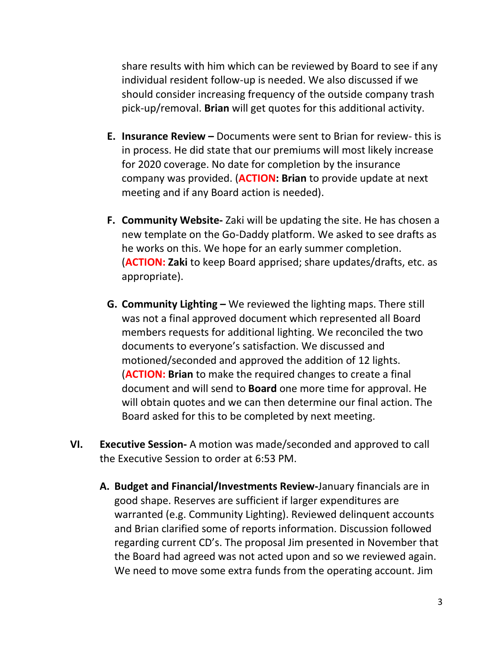share results with him which can be reviewed by Board to see if any individual resident follow-up is needed. We also discussed if we should consider increasing frequency of the outside company trash pick-up/removal. **Brian** will get quotes for this additional activity.

- **E. Insurance Review –** Documents were sent to Brian for review- this is in process. He did state that our premiums will most likely increase for 2020 coverage. No date for completion by the insurance company was provided. (**ACTION: Brian** to provide update at next meeting and if any Board action is needed).
- **F. Community Website-** Zaki will be updating the site. He has chosen a new template on the Go-Daddy platform. We asked to see drafts as he works on this. We hope for an early summer completion. (**ACTION: Zaki** to keep Board apprised; share updates/drafts, etc. as appropriate).
- **G. Community Lighting –** We reviewed the lighting maps. There still was not a final approved document which represented all Board members requests for additional lighting. We reconciled the two documents to everyone's satisfaction. We discussed and motioned/seconded and approved the addition of 12 lights. (**ACTION: Brian** to make the required changes to create a final document and will send to **Board** one more time for approval. He will obtain quotes and we can then determine our final action. The Board asked for this to be completed by next meeting.
- **VI. Executive Session-** A motion was made/seconded and approved to call the Executive Session to order at 6:53 PM.
	- **A. Budget and Financial/Investments Review-**January financials are in good shape. Reserves are sufficient if larger expenditures are warranted (e.g. Community Lighting). Reviewed delinquent accounts and Brian clarified some of reports information. Discussion followed regarding current CD's. The proposal Jim presented in November that the Board had agreed was not acted upon and so we reviewed again. We need to move some extra funds from the operating account. Jim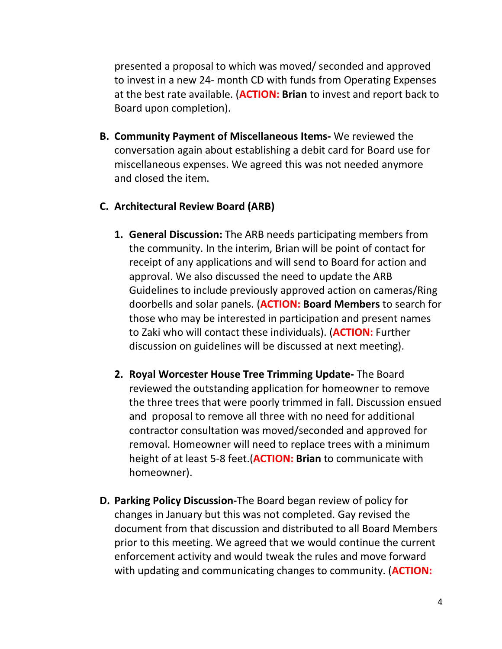presented a proposal to which was moved/ seconded and approved to invest in a new 24- month CD with funds from Operating Expenses at the best rate available. (**ACTION: Brian** to invest and report back to Board upon completion).

**B. Community Payment of Miscellaneous Items-** We reviewed the conversation again about establishing a debit card for Board use for miscellaneous expenses. We agreed this was not needed anymore and closed the item.

# **C. Architectural Review Board (ARB)**

- **1. General Discussion:** The ARB needs participating members from the community. In the interim, Brian will be point of contact for receipt of any applications and will send to Board for action and approval. We also discussed the need to update the ARB Guidelines to include previously approved action on cameras/Ring doorbells and solar panels. (**ACTION: Board Members** to search for those who may be interested in participation and present names to Zaki who will contact these individuals). (**ACTION:** Further discussion on guidelines will be discussed at next meeting).
- **2. Royal Worcester House Tree Trimming Update-** The Board reviewed the outstanding application for homeowner to remove the three trees that were poorly trimmed in fall. Discussion ensued and proposal to remove all three with no need for additional contractor consultation was moved/seconded and approved for removal. Homeowner will need to replace trees with a minimum height of at least 5-8 feet.(**ACTION: Brian** to communicate with homeowner).
- **D. Parking Policy Discussion-**The Board began review of policy for changes in January but this was not completed. Gay revised the document from that discussion and distributed to all Board Members prior to this meeting. We agreed that we would continue the current enforcement activity and would tweak the rules and move forward with updating and communicating changes to community. (**ACTION:**